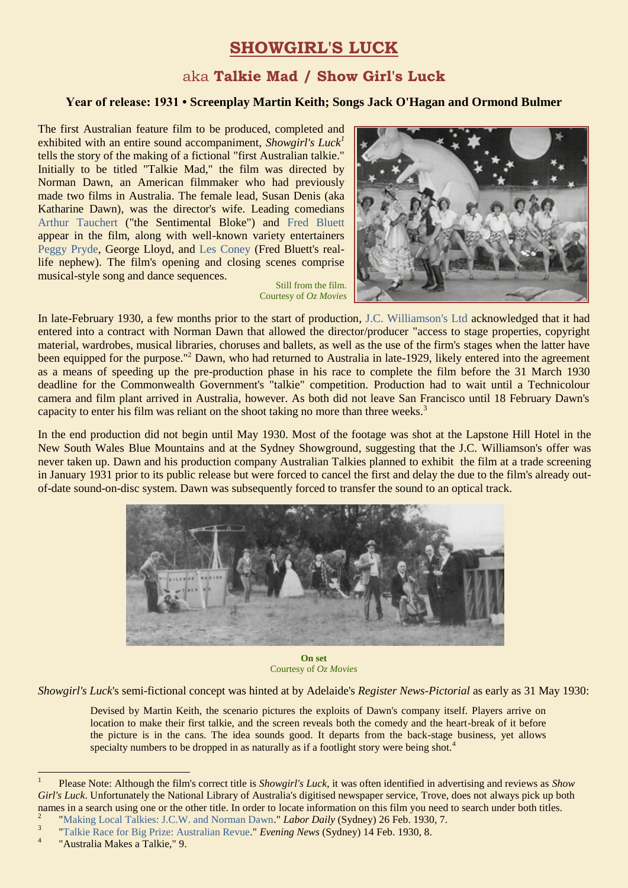# **SHOWGIRL'S LUCK**

## aka **Talkie Mad / Show Girl's Luck**

#### **Year of release: 1931 • Screenplay Martin Keith; Songs Jack O'Hagan and Ormond Bulmer**

The first Australian feature film to be produced, completed and exhibited with an entire sound accompaniment, *Showgirl's Luck<sup>1</sup>* tells the story of the making of a fictional "first Australian talkie." Initially to be titled "Talkie Mad," the film was directed by Norman Dawn, an American filmmaker who had previously made two films in Australia. The female lead, Susan Denis (aka Katharine Dawn), was the director's wife. Leading comedians [Arthur Tauchert](https://ozvta.com/practitioners-t/) ("the Sentimental Bloke") and [Fred Bluett](https://ozvta.com/practitioners-b/) appear in the film, along with well-known variety entertainers [Peggy Pryde,](https://ozvta.com/practitioners-p-q/) George Lloyd, and [Les Coney](https://ozvta.com/practitioners-c/) (Fred Bluett's reallife nephew). The film's opening and closing scenes comprise musical-style song and dance sequences.

Still from the film. Courtesy of *Oz Movies*



In late-February 1930, a few months prior to the start of production, [J.C. Williamson's Ltd](https://ozvta.com/organisations-a-l/) acknowledged that it had entered into a contract with Norman Dawn that allowed the director/producer "access to stage properties, copyright material, wardrobes, musical libraries, choruses and ballets, as well as the use of the firm's stages when the latter have been equipped for the purpose."<sup>2</sup> Dawn, who had returned to Australia in late-1929, likely entered into the agreement as a means of speeding up the pre-production phase in his race to complete the film before the 31 March 1930 deadline for the Commonwealth Government's "talkie" competition. Production had to wait until a Technicolour camera and film plant arrived in Australia, however. As both did not leave San Francisco until 18 February Dawn's capacity to enter his film was reliant on the shoot taking no more than three weeks.<sup>3</sup>

In the end production did not begin until May 1930. Most of the footage was shot at the Lapstone Hill Hotel in the New South Wales Blue Mountains and at the Sydney Showground, suggesting that the J.C. Williamson's offer was never taken up. Dawn and his production company Australian Talkies planned to exhibit the film at a trade screening in January 1931 prior to its public release but were forced to cancel the first and delay the due to the film's already outof-date sound-on-disc system. Dawn was subsequently forced to transfer the sound to an optical track.



**On set** Courtesy of *Oz Movies*

*Showgirl's Luck*'s semi-fictional concept was hinted at by Adelaide's *Register News-Pictorial* as early as 31 May 1930:

Devised by Martin Keith, the scenario pictures the exploits of Dawn's company itself. Players arrive on location to make their first talkie, and the screen reveals both the comedy and the heart-break of it before the picture is in the cans. The idea sounds good. It departs from the back-stage business, yet allows specialty numbers to be dropped in as naturally as if a footlight story were being shot.<sup>4</sup>

1

<sup>1</sup> Please Note: Although the film's correct title is *Showgirl's Luck*, it was often identified in advertising and reviews as *Show Girl's Luck*. Unfortunately the National Library of Australia's digitised newspaper service, Trove, does not always pick up both names in a search using one or the other title. In order to locate information on this film you need to search under both titles. 2

[<sup>&</sup>quot;Making Local Talkies: J.C.W. and Norman Dawn."](http://nla.gov.au/nla.news-article237013396) *Labor Daily* (Sydney) 26 Feb. 1930, 7. 3

[<sup>&</sup>quot;Talkie Race for Big Prize: Australian Revue.](https://trove.nla.gov.au/newspaper/article/125974033)" *Evening News* (Sydney) 14 Feb. 1930, 8. 4

<sup>&</sup>quot;Australia Makes a Talkie," 9.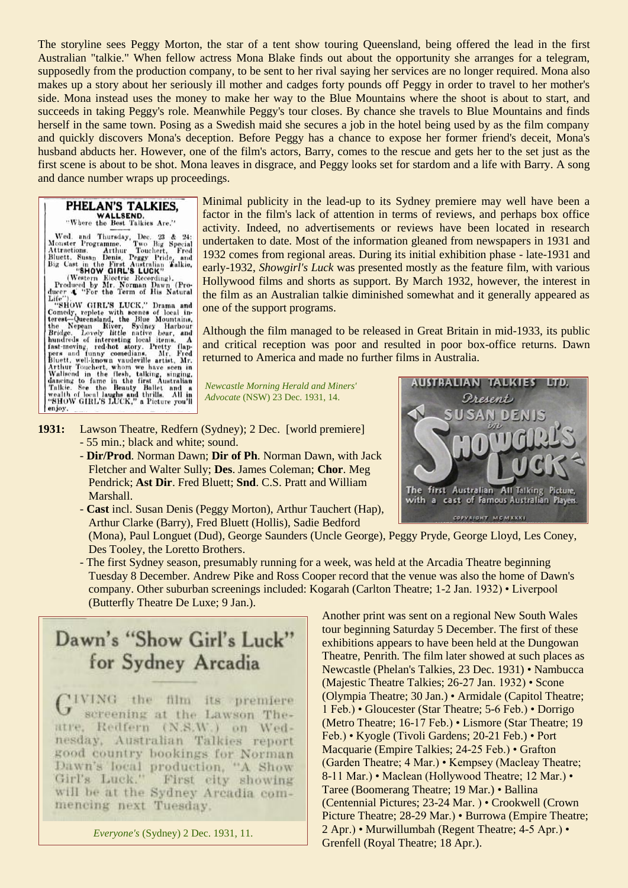The storyline sees Peggy Morton, the star of a tent show touring Queensland, being offered the lead in the first Australian "talkie." When fellow actress Mona Blake finds out about the opportunity she arranges for a telegram, supposedly from the production company, to be sent to her rival saying her services are no longer required. Mona also makes up a story about her seriously ill mother and cadges forty pounds off Peggy in order to travel to her mother's side. Mona instead uses the money to make her way to the Blue Mountains where the shoot is about to start, and succeeds in taking Peggy's role. Meanwhile Peggy's tour closes. By chance she travels to Blue Mountains and finds herself in the same town. Posing as a Swedish maid she secures a job in the hotel being used by as the film company and quickly discovers Mona's deception. Before Peggy has a chance to expose her former friend's deceit, Mona's husband abducts her. However, one of the film's actors, Barry, comes to the rescue and gets her to the set just as the first scene is about to be shot. Mona leaves in disgrace, and Peggy looks set for stardom and a life with Barry. A song and dance number wraps up proceedings.

PHELAN'S TALKIES, "Where the Best Talkies Are."

Wester Programme. Two Big Special<br>Monster Programme. Two Big Special<br>Attractions. At<br>thur Touchert, Fred<br>Bluett, Susan Denis, Peggy Pride, and<br>Big Cast in the First Australian Talkie,<br>"SHOW GIRL'S LUCK"<br>Produced by Mr. Nor

"SHOW GIRL'S LUCK," Drama and<br>Comedy, replete with scenes of local in-<br>terest-Queensland, the Blue Mountains,<br>the Nepean River, Sydney Harbour<br>Bridge. Lovely little native bear, and<br>handreds of interesting local items. A<br>f enjoy.

Minimal publicity in the lead-up to its Sydney premiere may well have been a factor in the film's lack of attention in terms of reviews, and perhaps box office activity. Indeed, no advertisements or reviews have been located in research undertaken to date. Most of the information gleaned from newspapers in 1931 and 1932 comes from regional areas. During its initial exhibition phase - late-1931 and early-1932, *Showgirl's Luck* was presented mostly as the feature film, with various Hollywood films and shorts as support. By March 1932, however, the interest in the film as an Australian talkie diminished somewhat and it generally appeared as one of the support programs.

Although the film managed to be released in Great Britain in mid-1933, its public and critical reception was poor and resulted in poor box-office returns. Dawn returned to America and made no further films in Australia.

*Newcastle Morning Herald and Miners' Advocate* (NSW) 23 Dec. 1931, 14.

- **1931:** Lawson Theatre, Redfern (Sydney); 2 Dec. [world premiere] - 55 min.; black and white; sound.
	- **Dir/Prod**. Norman Dawn; **Dir of Ph**. Norman Dawn, with Jack Fletcher and Walter Sully; **Des**. James Coleman; **Chor**. Meg Pendrick; **Ast Dir**. Fred Bluett; **Snd**. C.S. Pratt and William Marshall.
	- **Cast** incl. Susan Denis (Peggy Morton), Arthur Tauchert (Hap), Arthur Clarke (Barry), Fred Bluett (Hollis), Sadie Bedford

 (Mona), Paul Longuet (Dud), George Saunders (Uncle George), Peggy Pryde, George Lloyd, Les Coney, Des Tooley, the Loretto Brothers.

- The first Sydney season, presumably running for a week, was held at the Arcadia Theatre beginning Tuesday 8 December. Andrew Pike and Ross Cooper record that the venue was also the home of Dawn's company. Other suburban screenings included: Kogarah (Carlton Theatre; 1-2 Jan. 1932) • Liverpool (Butterfly Theatre De Luxe; 9 Jan.).

Dawn's "Show Girl's Luck" for Sydney Arcadia

'IVING the film its premiere screening at the Lawson Theatre, Redfern (N.S.W.) on Wednesday, Australian Talkies report good country bookings for Norman Dawn's local production, "A Show Girl's Luck." First city showing will be at the Sydney Arcadia commencing next Tuesday.

*Everyone's* (Sydney) 2 Dec. 1931, 11.

 Another print was sent on a regional New South Wales tour beginning Saturday 5 December. The first of these exhibitions appears to have been held at the Dungowan Theatre, Penrith. The film later showed at such places as Newcastle (Phelan's Talkies, 23 Dec. 1931) • Nambucca (Majestic Theatre Talkies; 26-27 Jan. 1932) • Scone (Olympia Theatre; 30 Jan.) • Armidale (Capitol Theatre; 1 Feb.) • Gloucester (Star Theatre; 5-6 Feb.) • Dorrigo (Metro Theatre; 16-17 Feb.) • Lismore (Star Theatre; 19 Feb.) • Kyogle (Tivoli Gardens; 20-21 Feb.) • Port Macquarie (Empire Talkies; 24-25 Feb.) • Grafton (Garden Theatre; 4 Mar.) • Kempsey (Macleay Theatre; 8-11 Mar.) • Maclean (Hollywood Theatre; 12 Mar.) • Taree (Boomerang Theatre; 19 Mar.) • Ballina (Centennial Pictures; 23-24 Mar. ) • Crookwell (Crown Picture Theatre; 28-29 Mar.) • Burrowa (Empire Theatre; 2 Apr.) • Murwillumbah (Regent Theatre; 4-5 Apr.) • Grenfell (Royal Theatre; 18 Apr.).

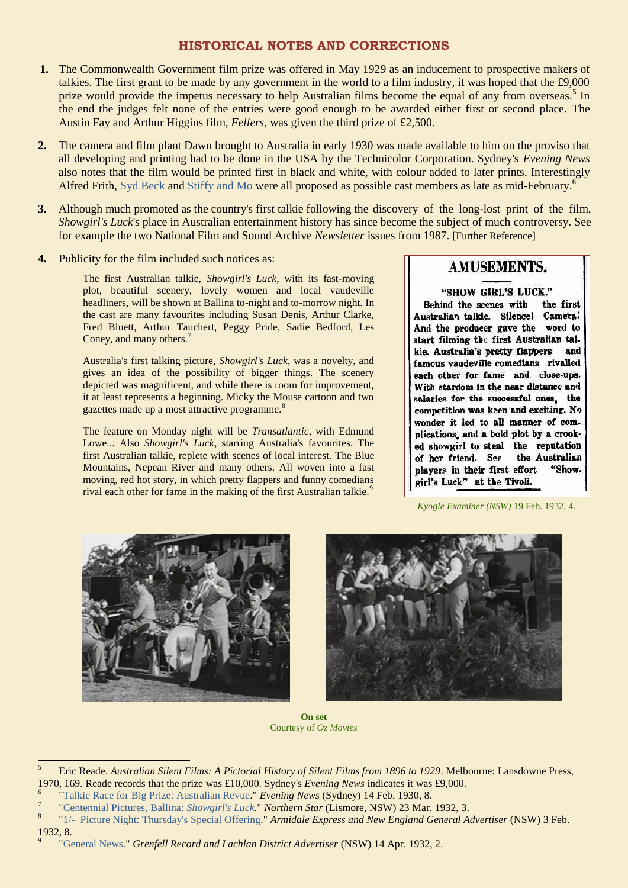### **HISTORICAL NOTES AND CORRECTIONS**

- **1.** The Commonwealth Government film prize was offered in May 1929 as an inducement to prospective makers of talkies. The first grant to be made by any government in the world to a film industry, it was hoped that the £9,000 prize would provide the impetus necessary to help Australian films become the equal of any from overseas.<sup>5</sup> In the end the judges felt none of the entries were good enough to be awarded either first or second place. The Austin Fay and Arthur Higgins film, *Fellers*, was given the third prize of £2,500.
- **2.** The camera and film plant Dawn brought to Australia in early 1930 was made available to him on the proviso that all developing and printing had to be done in the USA by the Technicolor Corporation. Sydney's *Evening News* also notes that the film would be printed first in black and white, with colour added to later prints. Interestingly Alfred Frith, [Syd Beck](https://ozvta.com/practitioners-b/) an[d Stiffy and Mo](https://ozvta.com/stage-characters/) were all proposed as possible cast members as late as mid-February.<sup>6</sup>
- **3.** Although much promoted as the country's first talkie following the discovery of the long-lost print of the film, *Showgirl's Luck*'s place in Australian entertainment history has since become the subject of much controversy. See for example the two National Film and Sound Archive *Newsletter* issues from 1987. [Further Reference]
- **4.** Publicity for the film included such notices as:

The first Australian talkie, *Showgirl's Luck*, with its fast-moving plot, beautiful scenery, lovely women and local vaudeville headliners, will be shown at Ballina to-night and to-morrow night. In the cast are many favourites including Susan Denis, Arthur Clarke, Fred Bluett, Arthur Tauchert, Peggy Pride, Sadie Bedford, Les Coney, and many others.<sup>7</sup>

Australia's first talking picture, *Showgirl's Luck*, was a novelty, and gives an idea of the possibility of bigger things. The scenery depicted was magnificent, and while there is room for improvement, it at least represents a beginning. Micky the Mouse cartoon and two gazettes made up a most attractive programme.<sup>8</sup>

The feature on Monday night will be *Transatlantic*, with Edmund Lowe... Also *Showgirl's Luck*, starring Australia's favourites. The first Australian talkie, replete with scenes of local interest. The Blue Mountains, Nepean River and many others. All woven into a fast moving, red hot story, in which pretty flappers and funny comedians rival each other for fame in the making of the first Australian talkie.<sup>9</sup>

# **AMUSEMENTS.**

"SHOW GIRL'S LUCK."

Behind the scenes with the first Australian talkie. Silence! Camera: And the producer gave the word to start filming the first Australian talkie. Australia's pretty flappers and famous vaudeville comedians rivalled each other for fame and close-ups. With stardom in the near distance and salaries for the successful ones, the competition was keen and exciting. No wonder it led to all manner of complications, and a bold plot by a crooked showgirl to steal the reputation the Australian of her friend. See "Showplayers in their first effort girl's Luck" at the Tivoli.

*Kyogle Examiner (NSW)* 19 Feb. 1932, 4.



 $\overline{a}$ 

9



**On set** Courtesy of *Oz Movies*

<sup>5</sup> Eric Reade. *Australian Silent Films: A Pictorial History of Silent Films from 1896 to 1929*. Melbourne: Lansdowne Press, 1970, 169. Reade records that the prize was £10,000. Sydney's *Evening News* indicates it was £9,000. 6

[<sup>&</sup>quot;Talkie Race for Big Prize: Australian Revue.](https://trove.nla.gov.au/newspaper/article/125974033)" *Evening News* (Sydney) 14 Feb. 1930, 8.

<sup>7</sup> ["Centennial Pictures, Ballina:](https://trove.nla.gov.au/newspaper/page/9147333) *Showgirl's Luck*." *Northern Star* (Lismore, NSW) 23 Mar. 1932, 3.

<sup>8</sup> ["1/- Picture Night: Thursday's Special Offering."](https://trove.nla.gov.au/newspaper/article/192861786) *Armidale Express and New England General Advertiser* (NSW) 3 Feb. 1932, 8.

[<sup>&</sup>quot;General News.](http://nla.gov.au/nla.news-page12558575)" *Grenfell Record and Lachlan District Advertiser* (NSW) 14 Apr. 1932, 2.